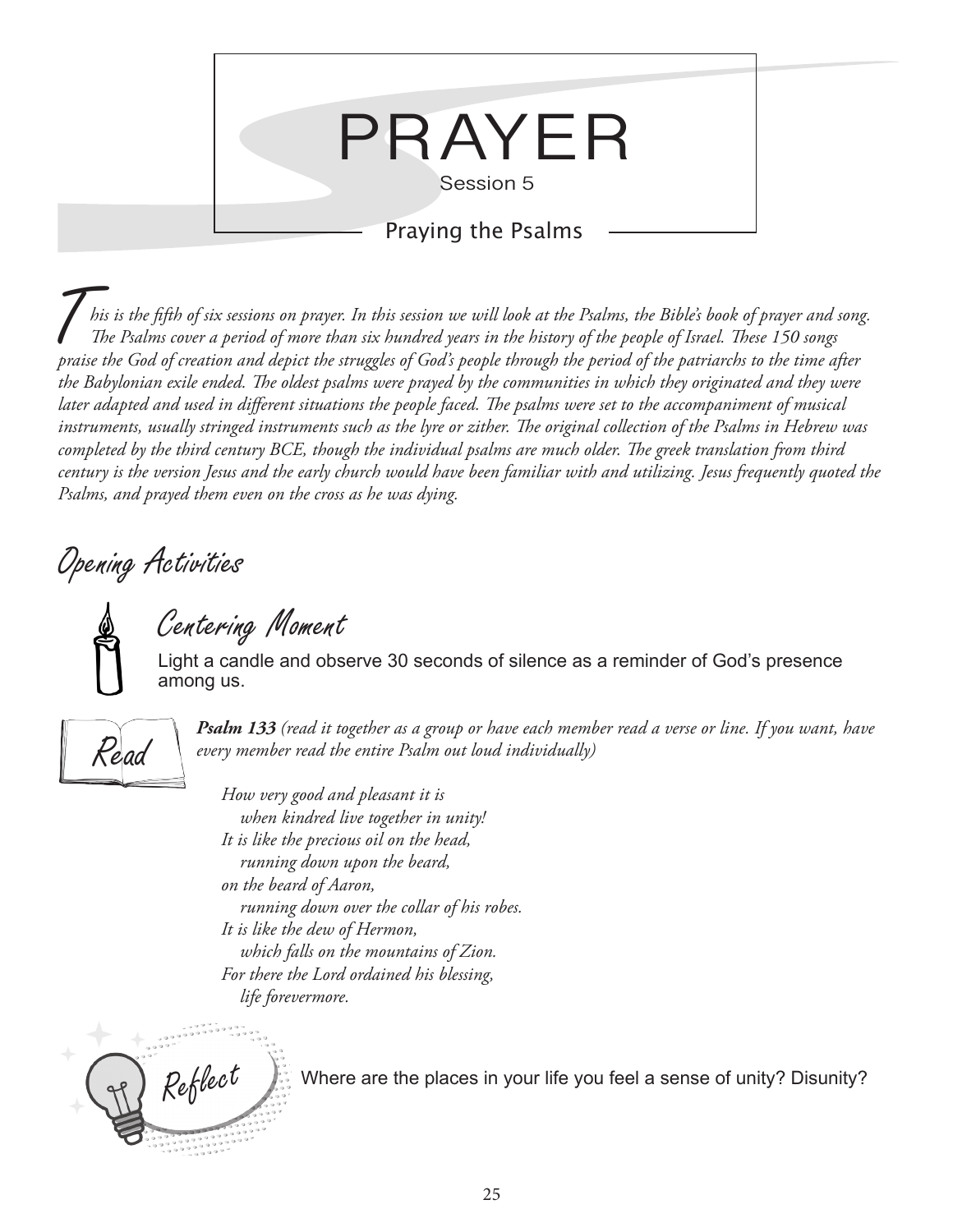

T*his is the fifth of six sessions on prayer. In this session we will look at the Psalms, the Bible's book of prayer and song. The Psalms cover a period of more than six hundred years in the history of the people of Israel. These 150 songs praise the God of creation and depict the struggles of God's people through the period of the patriarchs to the time after the Babylonian exile ended. The oldest psalms were prayed by the communities in which they originated and they were later adapted and used in different situations the people faced. The psalms were set to the accompaniment of musical instruments, usually stringed instruments such as the lyre or zither. The original collection of the Psalms in Hebrew was completed by the third century BCE, though the individual psalms are much older. The greek translation from third century is the version Jesus and the early church would have been familiar with and utilizing. Jesus frequently quoted the Psalms, and prayed them even on the cross as he was dying.*

Opening Activities

Centering Moment

Light a candle and observe 30 seconds of silence as a reminder of God's presence among us.



*Psalm 133 (read it together as a group or have each member read a verse or line. If you want, have every member read the entire Psalm out loud individually)*

*How very good and pleasant it is when kindred live together in unity! It is like the precious oil on the head, running down upon the beard, on the beard of Aaron, running down over the collar of his robes. It is like the dew of Hermon, which falls on the mountains of Zion. For there the Lord ordained his blessing, life forevermore.*



 $Re\acute{f}$ lec $t$  Where are the places in your life you feel a sense of unity? Disunity?